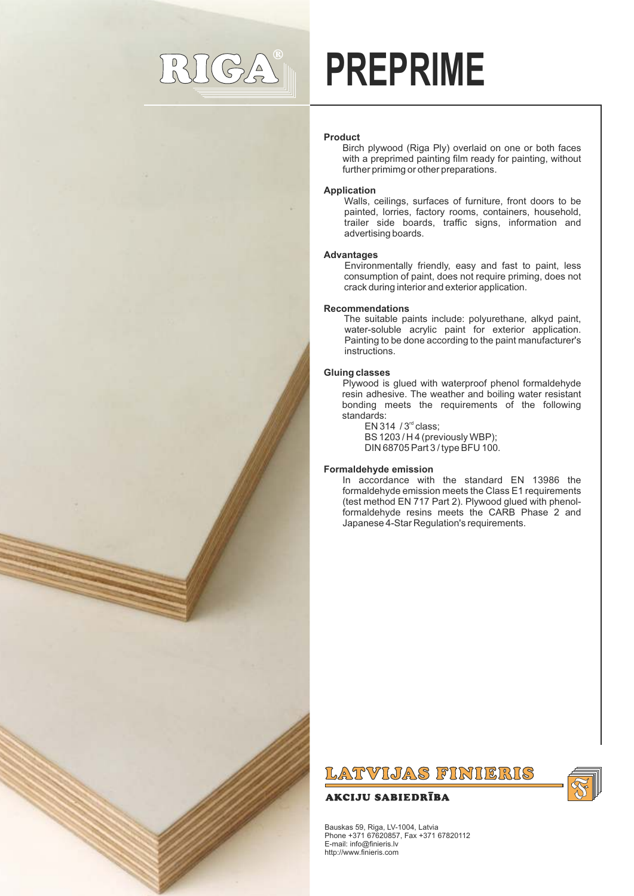# $((G)_{\alpha}^{\Delta})$

# **PREPRIME**

# **Product**

Birch plywood (Riga Ply) overlaid on one or both faces with a preprimed painting film ready for painting, without further primimg or other preparations.

# **Application**

Walls, ceilings, surfaces of furniture, front doors to be painted, lorries, factory rooms, containers, household, trailer side boards, traffic signs, information and advertising boards.

# **Advantages**

Environmentally friendly, easy and fast to paint, less consumption of paint, does not require priming, does not crack during interior and exterior application.

#### **Recommendations**

The suitable paints include: polyurethane, alkyd paint, water-soluble acrylic paint for exterior application. Painting to be done according to the paint manufacturer's instructions.

# **Gluing classes**

Plywood is glued with waterproof phenol formaldehyde resin adhesive. The weather and boiling water resistant bonding meets the requirements of the following standards:

EN 314  $/3<sup>rd</sup>$  class; BS 1203 / H 4 (previously WBP); DIN 68705 Part 3 / type BFU 100.

# **Formaldehyde emission**

In accordance with the standard EN 13986 the formaldehyde emission meets the Class E1 requirements (test method EN 717 Part 2). Plywood glued with phenolformaldehyde resins meets the CARB Phase 2 and Japanese 4-Star Regulation's requirements.



# **AKCIJU SABIEDRĪBA**



Bauskas 59, Riga, LV-1004, Latvia Phone +371 67620857, Fax +371 67820112 E-mail: info@finieris.lv http://www.finieris.com